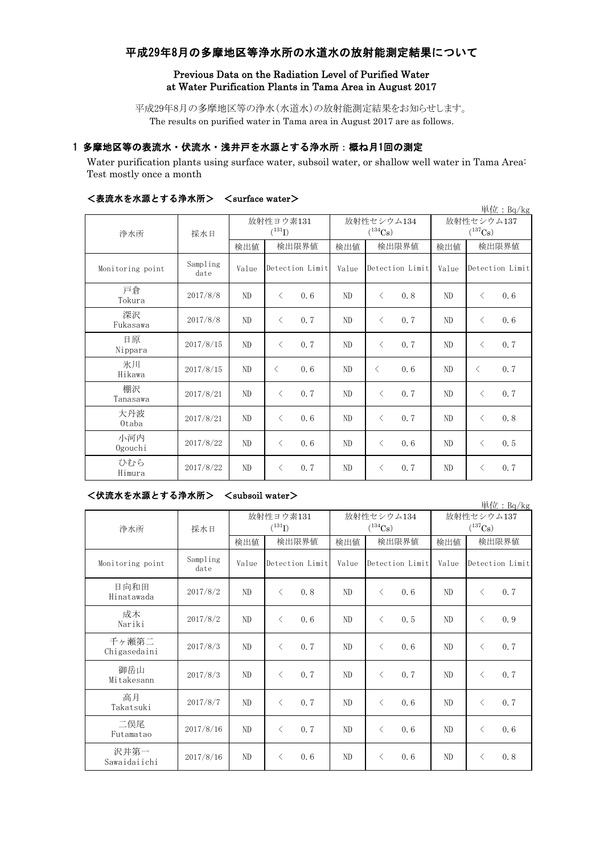# 平成29年8月の多摩地区等浄水所の水道水の放射能測定結果について

## Previous Data on the Radiation Level of Purified Water at Water Purification Plants in Tama Area in August 2017

平成29年8月の多摩地区等の浄水(水道水)の放射能測定結果をお知らせします。 The results on purified water in Tama area in August 2017 are as follows.

## 1 多摩地区等の表流水・伏流水・浅井戸を水源とする浄水所:概ね月1回の測定

Water purification plants using surface water, subsoil water, or shallow well water in Tama Area: Test mostly once a month

| ヽ ウར クル クト င ノト ルホ ㄴ ァ ་∾ /ㅜ ノトノノ! / |                  | $\sqrt{5}$ ullace watch $\gamma$ |                 |      |       |                 |            |                            |                 | 単位: Bq/kg |
|--------------------------------------|------------------|----------------------------------|-----------------|------|-------|-----------------|------------|----------------------------|-----------------|-----------|
| 浄水所                                  | 採水日              | 放射性ヨウ素131<br>$(^{131}I)$         |                 |      |       | $(^{134}Cs)$    | 放射性セシウム134 | 放射性セシウム137<br>$(^{137}Cs)$ |                 |           |
|                                      |                  | 検出値                              | 検出限界値           |      | 検出値   | 検出限界値           |            | 検出値                        | 検出限界値           |           |
| Monitoring point                     | Sampling<br>date | Value                            | Detection Limit |      | Value | Detection Limit |            | Value                      | Detection Limit |           |
| 戸倉<br>Tokura                         | 2017/8/8         | ND                               | $\langle$       | 0, 6 | ND    | $\langle$       | 0.8        | ND                         | $\lt$           | 0, 6      |
| 深沢<br>Fukasawa                       | 2017/8/8         | ND                               | $\langle$       | 0.7  | ND    | $\lt$           | 0.7        | ND                         | $\lt$           | 0.6       |
| 日原<br>Nippara                        | 2017/8/15        | ND                               | $\lt$           | 0.7  | ND.   | $\lt$           | 0.7        | ND                         | $\langle$       | 0.7       |
| 氷川<br>Hikawa                         | 2017/8/15        | ND                               | $\langle$       | 0.6  | ND    | $\lt$           | 0.6        | ND                         | $\langle$       | 0, 7      |
| 棚沢<br>Tanasawa                       | 2017/8/21        | ND                               | $\langle$       | 0.7  | ND    | $\lt$           | 0.7        | ND.                        | $\langle$       | 0, 7      |
| 大丹波<br>Otaba                         | 2017/8/21        | ND                               | $\langle$       | 0.6  | ND    | $\lt$           | 0.7        | ND                         | $\langle$       | 0.8       |
| 小河内<br>Ogouchi                       | 2017/8/22        | ND                               | $\lt$           | 0.6  | ND    | $\langle$       | 0.6        | ND                         | $\langle$       | 0, 5      |
| ひむら<br>Himura                        | 2017/8/22        | ND                               | $\lt$           | 0.7  | ND    | $\lt$           | 0.7        | ND                         | $\langle$       | 0.7       |

## <表流水を水源とする浄水所> <surface water>

## <伏流水を水源とする浄水所> <subsoil water>

| 単位: Bq/kg             |                  |                                   |           |                 |       |                            |                 |                            |           |                 |  |  |
|-----------------------|------------------|-----------------------------------|-----------|-----------------|-------|----------------------------|-----------------|----------------------------|-----------|-----------------|--|--|
| 浄水所                   | 採水日              | 放射性ヨウ素131<br>$(^{131}\mathrm{I})$ |           |                 |       | 放射性セシウム134<br>$(^{134}Cs)$ |                 | 放射性セシウム137<br>$(^{137}Cs)$ |           |                 |  |  |
|                       |                  | 検出値                               | 検出限界値     |                 | 検出値   | 検出限界値                      |                 | 検出値                        | 検出限界値     |                 |  |  |
| Monitoring point      | Sampling<br>date | Value                             |           | Detection Limit | Value |                            | Detection Limit | Value                      |           | Detection Limit |  |  |
| 日向和田<br>Hinatawada    | 2017/8/2         | ND                                | $\langle$ | 0.8             | ND    | $\langle$                  | 0.6             | ND                         | $\lt$     | 0, 7            |  |  |
| 成木<br>Nariki          | 2017/8/2         | ND                                | $\langle$ | 0.6             | ND    | ⟨                          | 0.5             | ND                         | $\langle$ | 0.9             |  |  |
| 千ヶ瀬第二<br>Chigasedaini | 2017/8/3         | ND                                | $\langle$ | 0, 7            | ND    | $\langle$                  | 0.6             | ND                         | $\langle$ | 0.7             |  |  |
| 御岳山<br>Mitakesann     | 2017/8/3         | ND                                | $\langle$ | 0.7             | ND    | $\langle$                  | 0, 7            | ND                         | $\langle$ | 0.7             |  |  |
| 高月<br>Takatsuki       | 2017/8/7         | ND                                | $\langle$ | 0, 7            | ND    | $\langle$                  | 0.6             | ND                         | $\langle$ | 0.7             |  |  |
| 二俣尾<br>Futamatao      | 2017/8/16        | ND                                | $\lt$     | 0, 7            | ND    | $\langle$                  | 0.6             | ND                         | $\langle$ | 0, 6            |  |  |
| 沢井第一<br>Sawaidaiichi  | 2017/8/16        | ND                                | $\lt$     | 0.6             | ND    | $\langle$                  | 0.6             | ND                         | $\lt$     | 0.8             |  |  |